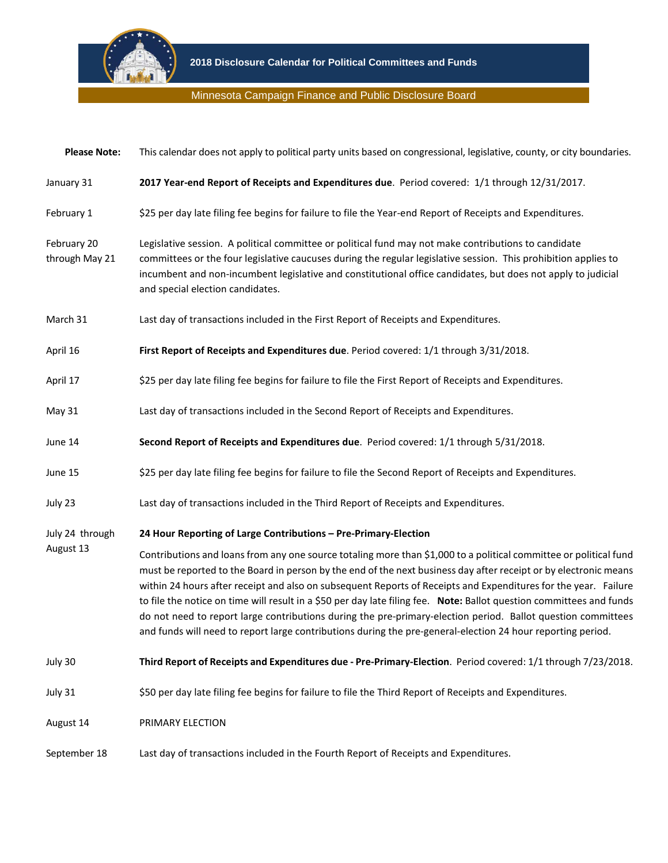

## Minnesota Campaign Finance and Public Disclosure Board

| <b>Please Note:</b>           | This calendar does not apply to political party units based on congressional, legislative, county, or city boundaries.                                                                                                                                                                                                                                                                                                                                                                                                                                                                                                                                                                                          |
|-------------------------------|-----------------------------------------------------------------------------------------------------------------------------------------------------------------------------------------------------------------------------------------------------------------------------------------------------------------------------------------------------------------------------------------------------------------------------------------------------------------------------------------------------------------------------------------------------------------------------------------------------------------------------------------------------------------------------------------------------------------|
| January 31                    | 2017 Year-end Report of Receipts and Expenditures due. Period covered: 1/1 through 12/31/2017.                                                                                                                                                                                                                                                                                                                                                                                                                                                                                                                                                                                                                  |
| February 1                    | \$25 per day late filing fee begins for failure to file the Year-end Report of Receipts and Expenditures.                                                                                                                                                                                                                                                                                                                                                                                                                                                                                                                                                                                                       |
| February 20<br>through May 21 | Legislative session. A political committee or political fund may not make contributions to candidate<br>committees or the four legislative caucuses during the regular legislative session. This prohibition applies to<br>incumbent and non-incumbent legislative and constitutional office candidates, but does not apply to judicial<br>and special election candidates.                                                                                                                                                                                                                                                                                                                                     |
| March 31                      | Last day of transactions included in the First Report of Receipts and Expenditures.                                                                                                                                                                                                                                                                                                                                                                                                                                                                                                                                                                                                                             |
| April 16                      | First Report of Receipts and Expenditures due. Period covered: 1/1 through 3/31/2018.                                                                                                                                                                                                                                                                                                                                                                                                                                                                                                                                                                                                                           |
| April 17                      | \$25 per day late filing fee begins for failure to file the First Report of Receipts and Expenditures.                                                                                                                                                                                                                                                                                                                                                                                                                                                                                                                                                                                                          |
| May 31                        | Last day of transactions included in the Second Report of Receipts and Expenditures.                                                                                                                                                                                                                                                                                                                                                                                                                                                                                                                                                                                                                            |
| June 14                       | Second Report of Receipts and Expenditures due. Period covered: 1/1 through 5/31/2018.                                                                                                                                                                                                                                                                                                                                                                                                                                                                                                                                                                                                                          |
| June 15                       | \$25 per day late filing fee begins for failure to file the Second Report of Receipts and Expenditures.                                                                                                                                                                                                                                                                                                                                                                                                                                                                                                                                                                                                         |
| July 23                       | Last day of transactions included in the Third Report of Receipts and Expenditures.                                                                                                                                                                                                                                                                                                                                                                                                                                                                                                                                                                                                                             |
| July 24 through<br>August 13  | 24 Hour Reporting of Large Contributions - Pre-Primary-Election                                                                                                                                                                                                                                                                                                                                                                                                                                                                                                                                                                                                                                                 |
|                               | Contributions and loans from any one source totaling more than \$1,000 to a political committee or political fund<br>must be reported to the Board in person by the end of the next business day after receipt or by electronic means<br>within 24 hours after receipt and also on subsequent Reports of Receipts and Expenditures for the year. Failure<br>to file the notice on time will result in a \$50 per day late filing fee. Note: Ballot question committees and funds<br>do not need to report large contributions during the pre-primary-election period. Ballot question committees<br>and funds will need to report large contributions during the pre-general-election 24 hour reporting period. |
| July 30                       | Third Report of Receipts and Expenditures due - Pre-Primary-Election. Period covered: 1/1 through 7/23/2018.                                                                                                                                                                                                                                                                                                                                                                                                                                                                                                                                                                                                    |
| July 31                       | \$50 per day late filing fee begins for failure to file the Third Report of Receipts and Expenditures.                                                                                                                                                                                                                                                                                                                                                                                                                                                                                                                                                                                                          |
| August 14                     | PRIMARY ELECTION                                                                                                                                                                                                                                                                                                                                                                                                                                                                                                                                                                                                                                                                                                |
| September 18                  | Last day of transactions included in the Fourth Report of Receipts and Expenditures.                                                                                                                                                                                                                                                                                                                                                                                                                                                                                                                                                                                                                            |